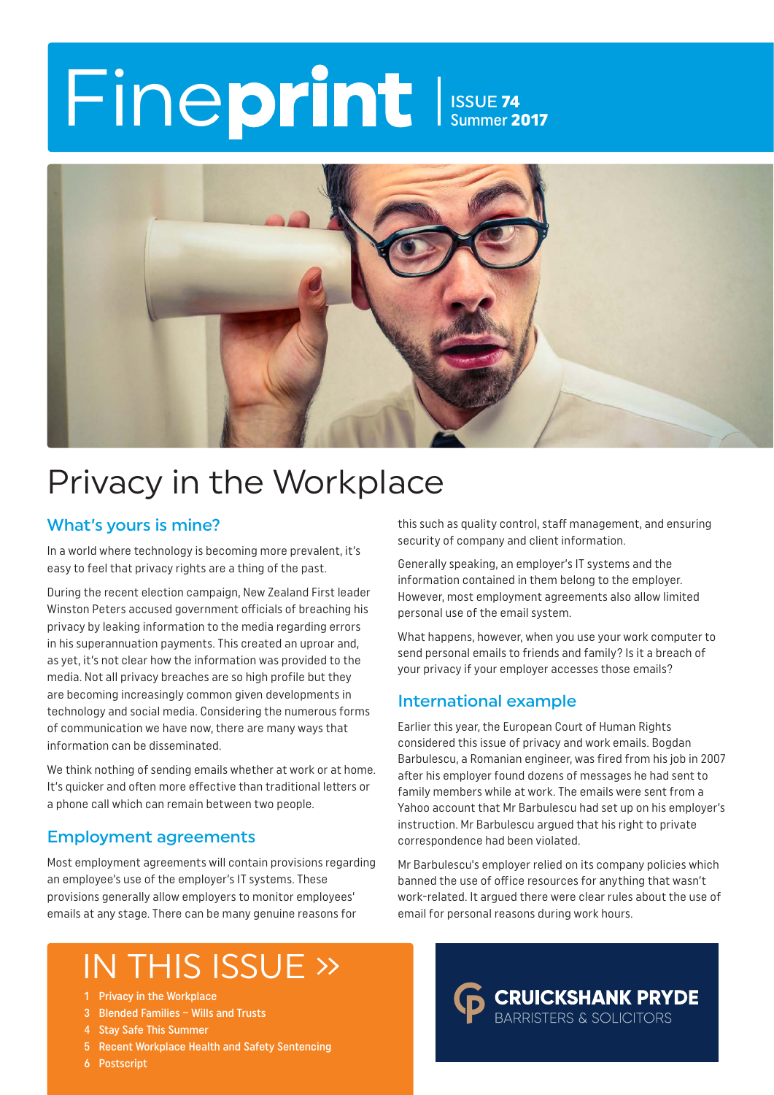## Fineprint Issue 74 Summer 2017



## Privacy in the Workplace

#### What's yours is mine?

In a world where technology is becoming more prevalent, it's easy to feel that privacy rights are a thing of the past.

During the recent election campaign, New Zealand First leader Winston Peters accused government officials of breaching his privacy by leaking information to the media regarding errors in his superannuation payments. This created an uproar and, as yet, it's not clear how the information was provided to the media. Not all privacy breaches are so high profile but they are becoming increasingly common given developments in technology and social media. Considering the numerous forms of communication we have now, there are many ways that information can be disseminated.

We think nothing of sending emails whether at work or at home. It's quicker and often more effective than traditional letters or a phone call which can remain between two people.

#### Employment agreements

Most employment agreements will contain provisions regarding an employee's use of the employer's IT systems. These provisions generally allow employers to monitor employees' emails at any stage. There can be many genuine reasons for

this such as quality control, staff management, and ensuring security of company and client information.

Generally speaking, an employer's IT systems and the information contained in them belong to the employer. However, most employment agreements also allow limited personal use of the email system.

What happens, however, when you use your work computer to send personal emails to friends and family? Is it a breach of your privacy if your employer accesses those emails?

#### International example

Earlier this year, the European Court of Human Rights considered this issue of privacy and work emails. Bogdan Barbulescu, a Romanian engineer, was fired from his job in 2007 after his employer found dozens of messages he had sent to family members while at work. The emails were sent from a Yahoo account that Mr Barbulescu had set up on his employer's instruction. Mr Barbulescu argued that his right to private correspondence had been violated.

Mr Barbulescu's employer relied on its company policies which banned the use of office resources for anything that wasn't work-related. It argued there were clear rules about the use of email for personal reasons during work hours.

> **CRUICKSHANK PRYDE BARRISTERS & SOLICITORS**

## IN THIS ISSUE »

- 1 Privacy in the Workplace
- 3 Blended Families Wills and Trusts
- 4 Stay Safe This Summer
- 5 Recent Workplace Health and Safety Sentencing
- 6 Postscript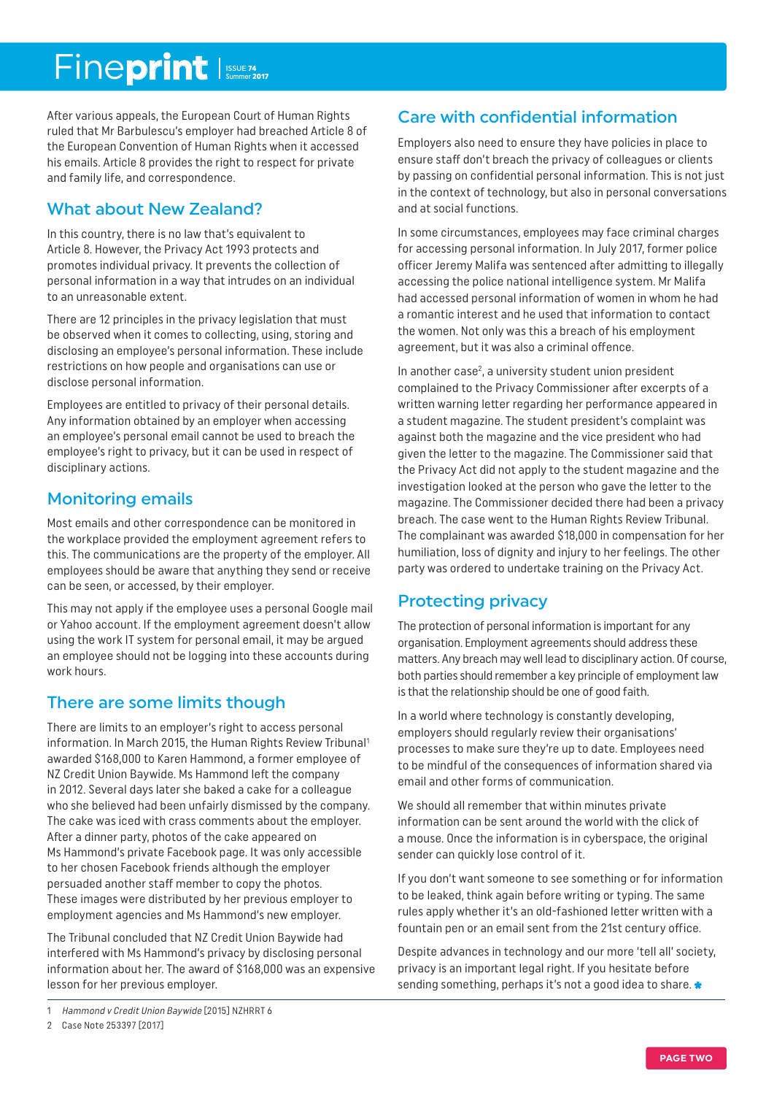## Fineprint Issue 74

After various appeals, the European Court of Human Rights ruled that Mr Barbulescu's employer had breached Article 8 of the European Convention of Human Rights when it accessed his emails. Article 8 provides the right to respect for private and family life, and correspondence.

### What about New Zealand?

In this country, there is no law that's equivalent to Article 8. However, the Privacy Act 1993 protects and promotes individual privacy. It prevents the collection of personal information in a way that intrudes on an individual to an unreasonable extent.

There are 12 principles in the privacy legislation that must be observed when it comes to collecting, using, storing and disclosing an employee's personal information. These include restrictions on how people and organisations can use or disclose personal information.

Employees are entitled to privacy of their personal details. Any information obtained by an employer when accessing an employee's personal email cannot be used to breach the employee's right to privacy, but it can be used in respect of disciplinary actions.

### Monitoring emails

Most emails and other correspondence can be monitored in the workplace provided the employment agreement refers to this. The communications are the property of the employer. All employees should be aware that anything they send or receive can be seen, or accessed, by their employer.

This may not apply if the employee uses a personal Google mail or Yahoo account. If the employment agreement doesn't allow using the work IT system for personal email, it may be argued an employee should not be logging into these accounts during work hours.

### There are some limits though

There are limits to an employer's right to access personal information. In March 2015, the Human Rights Review Tribunal<sup>1</sup> awarded \$168,000 to Karen Hammond, a former employee of NZ Credit Union Baywide. Ms Hammond left the company in 2012. Several days later she baked a cake for a colleague who she believed had been unfairly dismissed by the company. The cake was iced with crass comments about the employer. After a dinner party, photos of the cake appeared on Ms Hammond's private Facebook page. It was only accessible to her chosen Facebook friends although the employer persuaded another staff member to copy the photos. These images were distributed by her previous employer to employment agencies and Ms Hammond's new employer.

The Tribunal concluded that NZ Credit Union Baywide had interfered with Ms Hammond's privacy by disclosing personal information about her. The award of \$168,000 was an expensive lesson for her previous employer.

## Care with confidential information

Employers also need to ensure they have policies in place to ensure staff don't breach the privacy of colleagues or clients by passing on confidential personal information. This is not just in the context of technology, but also in personal conversations and at social functions.

In some circumstances, employees may face criminal charges for accessing personal information. In July 2017, former police officer Jeremy Malifa was sentenced after admitting to illegally accessing the police national intelligence system. Mr Malifa had accessed personal information of women in whom he had a romantic interest and he used that information to contact the women. Not only was this a breach of his employment agreement, but it was also a criminal offence.

In another case<sup>2</sup>, a university student union president complained to the Privacy Commissioner after excerpts of a written warning letter regarding her performance appeared in a student magazine. The student president's complaint was against both the magazine and the vice president who had given the letter to the magazine. The Commissioner said that the Privacy Act did not apply to the student magazine and the investigation looked at the person who gave the letter to the magazine. The Commissioner decided there had been a privacy breach. The case went to the Human Rights Review Tribunal. The complainant was awarded \$18,000 in compensation for her humiliation, loss of dignity and injury to her feelings. The other party was ordered to undertake training on the Privacy Act.

### Protecting privacy

The protection of personal information is important for any organisation. Employment agreements should address these matters. Any breach may well lead to disciplinary action. Of course, both parties should remember a key principle of employment law is that the relationship should be one of good faith.

In a world where technology is constantly developing, employers should regularly review their organisations' processes to make sure they're up to date. Employees need to be mindful of the consequences of information shared via email and other forms of communication.

We should all remember that within minutes private information can be sent around the world with the click of a mouse. Once the information is in cyberspace, the original sender can quickly lose control of it.

If you don't want someone to see something or for information to be leaked, think again before writing or typing. The same rules apply whether it's an old-fashioned letter written with a fountain pen or an email sent from the 21st century office.

Despite advances in technology and our more 'tell all' society, privacy is an important legal right. If you hesitate before sending something, perhaps it's not a good idea to share.

<sup>1</sup> Hammond v Credit Union Baywide [2015] NZHRRT 6

<sup>2</sup> Case Note 253397 [2017]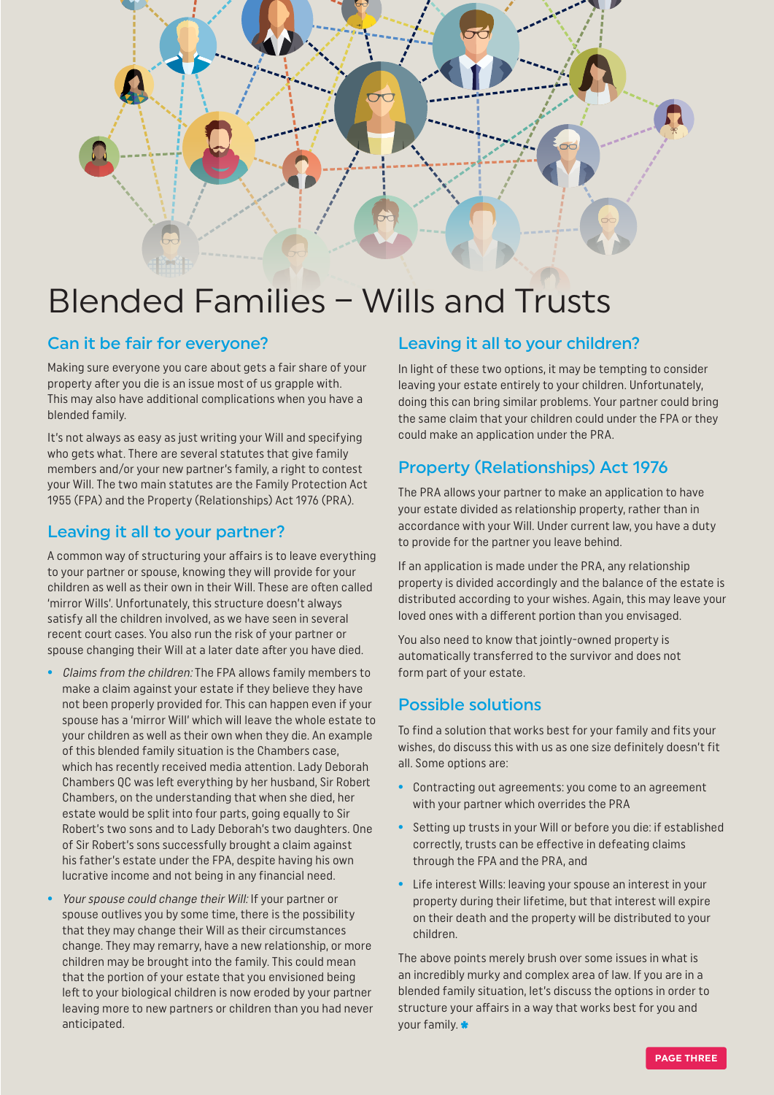

## Blended Families – Wills and Trusts

#### Can it be fair for everyone?

Making sure everyone you care about gets a fair share of your property after you die is an issue most of us grapple with. This may also have additional complications when you have a blended family.

It's not always as easy as just writing your Will and specifying who gets what. There are several statutes that give family members and/or your new partner's family, a right to contest your Will. The two main statutes are the Family Protection Act 1955 (FPA) and the Property (Relationships) Act 1976 (PRA).

#### Leaving it all to your partner?

A common way of structuring your affairs is to leave everything to your partner or spouse, knowing they will provide for your children as well as their own in their Will. These are often called 'mirror Wills'. Unfortunately, this structure doesn't always satisfy all the children involved, as we have seen in several recent court cases. You also run the risk of your partner or spouse changing their Will at a later date after you have died.

- **•** Claims from the children: The FPA allows family members to make a claim against your estate if they believe they have not been properly provided for. This can happen even if your spouse has a 'mirror Will' which will leave the whole estate to your children as well as their own when they die. An example of this blended family situation is the Chambers case, which has recently received media attention. Lady Deborah Chambers QC was left everything by her husband, Sir Robert Chambers, on the understanding that when she died, her estate would be split into four parts, going equally to Sir Robert's two sons and to Lady Deborah's two daughters. One of Sir Robert's sons successfully brought a claim against his father's estate under the FPA, despite having his own lucrative income and not being in any financial need.
- **•** Your spouse could change their Will: If your partner or spouse outlives you by some time, there is the possibility that they may change their Will as their circumstances change. They may remarry, have a new relationship, or more children may be brought into the family. This could mean that the portion of your estate that you envisioned being left to your biological children is now eroded by your partner leaving more to new partners or children than you had never anticipated.

#### Leaving it all to your children?

In light of these two options, it may be tempting to consider leaving your estate entirely to your children. Unfortunately, doing this can bring similar problems. Your partner could bring the same claim that your children could under the FPA or they could make an application under the PRA.

### Property (Relationships) Act 1976

The PRA allows your partner to make an application to have your estate divided as relationship property, rather than in accordance with your Will. Under current law, you have a duty to provide for the partner you leave behind.

If an application is made under the PRA, any relationship property is divided accordingly and the balance of the estate is distributed according to your wishes. Again, this may leave your loved ones with a different portion than you envisaged.

You also need to know that jointly-owned property is automatically transferred to the survivor and does not form part of your estate.

#### Possible solutions

To find a solution that works best for your family and fits your wishes, do discuss this with us as one size definitely doesn't fit all. Some options are:

- **•** Contracting out agreements: you come to an agreement with your partner which overrides the PRA
- **•** Setting up trusts in your Will or before you die: if established correctly, trusts can be effective in defeating claims through the FPA and the PRA, and
- **•** Life interest Wills: leaving your spouse an interest in your property during their lifetime, but that interest will expire on their death and the property will be distributed to your children.

The above points merely brush over some issues in what is an incredibly murky and complex area of law. If you are in a blended family situation, let's discuss the options in order to structure your affairs in a way that works best for you and your family.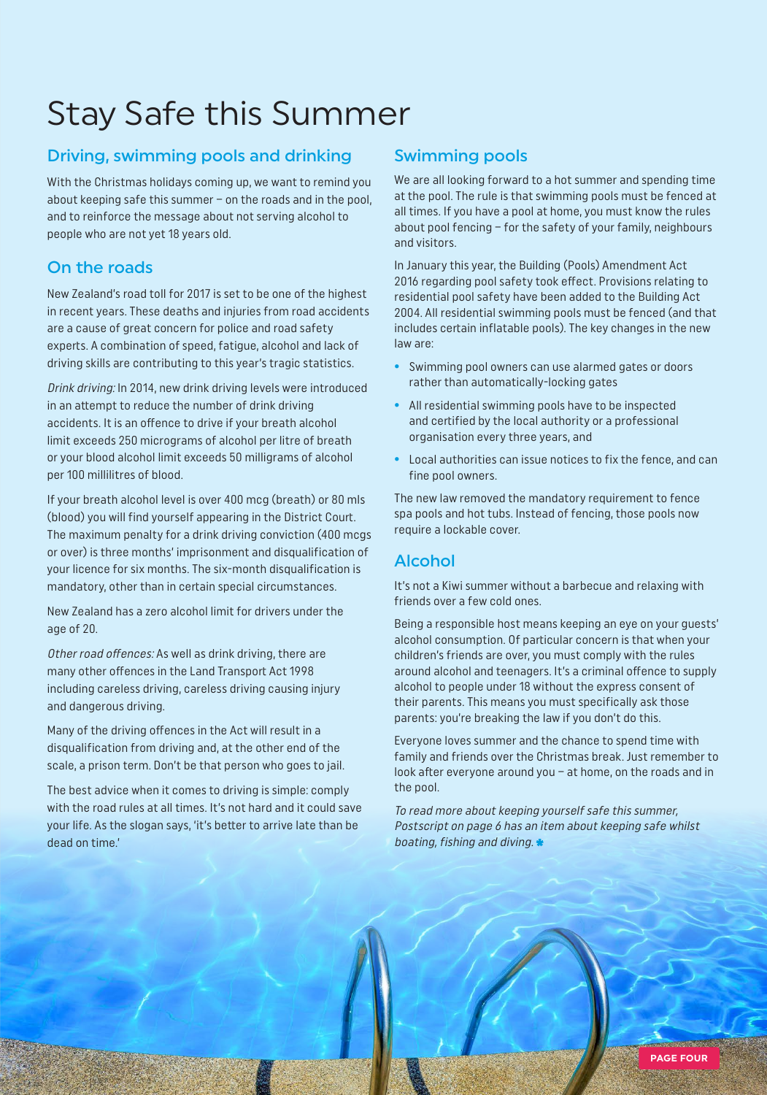## Stay Safe this Summer

### Driving, swimming pools and drinking

With the Christmas holidays coming up, we want to remind you about keeping safe this summer – on the roads and in the pool, and to reinforce the message about not serving alcohol to people who are not yet 18 years old.

### On the roads

New Zealand's road toll for 2017 is set to be one of the highest in recent years. These deaths and injuries from road accidents are a cause of great concern for police and road safety experts. A combination of speed, fatigue, alcohol and lack of driving skills are contributing to this year's tragic statistics.

Drink driving: In 2014, new drink driving levels were introduced in an attempt to reduce the number of drink driving accidents. It is an offence to drive if your breath alcohol limit exceeds 250 micrograms of alcohol per litre of breath or your blood alcohol limit exceeds 50 milligrams of alcohol per 100 millilitres of blood.

If your breath alcohol level is over 400 mcg (breath) or 80 mls (blood) you will find yourself appearing in the District Court. The maximum penalty for a drink driving conviction (400 mcgs or over) is three months' imprisonment and disqualification of your licence for six months. The six-month disqualification is mandatory, other than in certain special circumstances.

New Zealand has a zero alcohol limit for drivers under the age of 20.

Other road offences: As well as drink driving, there are many other offences in the Land Transport Act 1998 including careless driving, careless driving causing injury and dangerous driving.

Many of the driving offences in the Act will result in a disqualification from driving and, at the other end of the scale, a prison term. Don't be that person who goes to jail.

The best advice when it comes to driving is simple: comply with the road rules at all times. It's not hard and it could save your life. As the slogan says, 'it's better to arrive late than be dead on time.'

## Swimming pools

We are all looking forward to a hot summer and spending time at the pool. The rule is that swimming pools must be fenced at all times. If you have a pool at home, you must know the rules about pool fencing – for the safety of your family, neighbours and visitors.

In January this year, the Building (Pools) Amendment Act 2016 regarding pool safety took effect. Provisions relating to residential pool safety have been added to the Building Act 2004. All residential swimming pools must be fenced (and that includes certain inflatable pools). The key changes in the new law are:

- **•** Swimming pool owners can use alarmed gates or doors rather than automatically-locking gates
- **•** All residential swimming pools have to be inspected and certified by the local authority or a professional organisation every three years, and
- **•** Local authorities can issue notices to fix the fence, and can fine pool owners.

The new law removed the mandatory requirement to fence spa pools and hot tubs. Instead of fencing, those pools now require a lockable cover.

### Alcohol

It's not a Kiwi summer without a barbecue and relaxing with friends over a few cold ones.

Being a responsible host means keeping an eye on your guests' alcohol consumption. Of particular concern is that when your children's friends are over, you must comply with the rules around alcohol and teenagers. It's a criminal offence to supply alcohol to people under 18 without the express consent of their parents. This means you must specifically ask those parents: you're breaking the law if you don't do this.

Everyone loves summer and the chance to spend time with family and friends over the Christmas break. Just remember to look after everyone around you – at home, on the roads and in the pool.

To read more about keeping yourself safe this summer, Postscript on page 6 has an item about keeping safe whilst boating, fishing and diving.  $\star$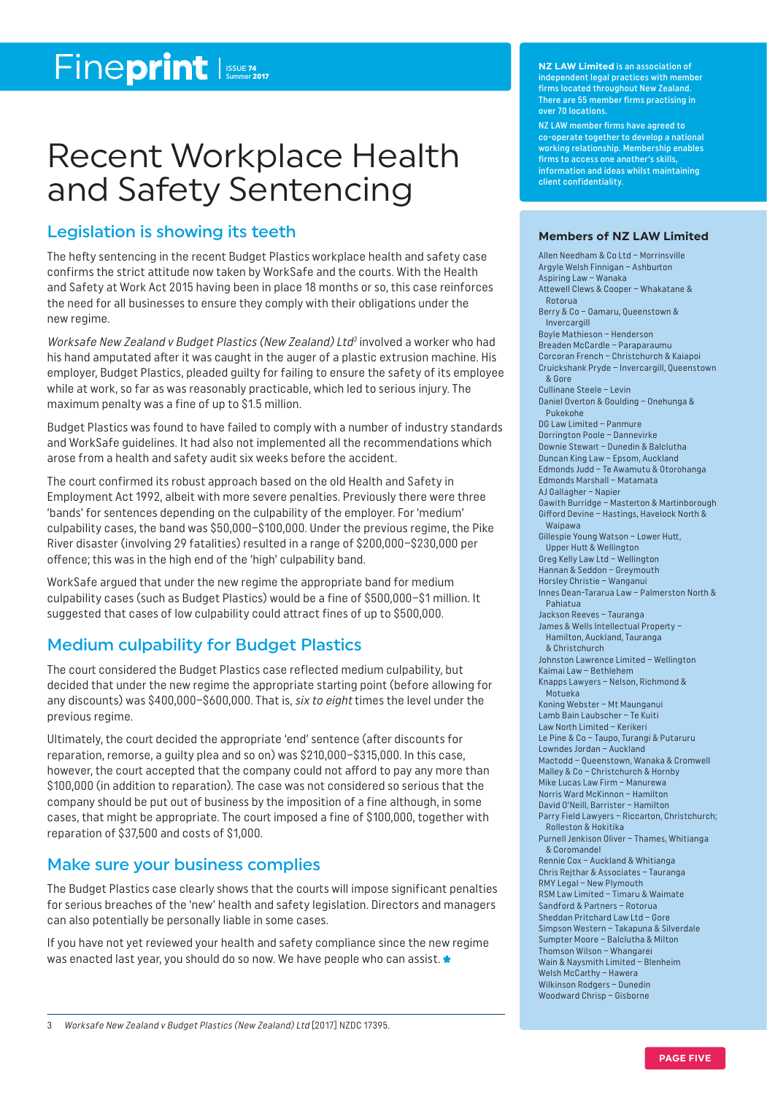## Fineprint Issue 74

## Recent Workplace Health and Safety Sentencing

#### Legislation is showing its teeth

The hefty sentencing in the recent Budget Plastics workplace health and safety case confirms the strict attitude now taken by WorkSafe and the courts. With the Health and Safety at Work Act 2015 having been in place 18 months or so, this case reinforces the need for all businesses to ensure they comply with their obligations under the new regime.

Worksafe New Zealand v Budget Plastics (New Zealand) Ltd<sup>3</sup> involved a worker who had his hand amputated after it was caught in the auger of a plastic extrusion machine. His employer, Budget Plastics, pleaded guilty for failing to ensure the safety of its employee while at work, so far as was reasonably practicable, which led to serious injury. The maximum penalty was a fine of up to \$1.5 million.

Budget Plastics was found to have failed to comply with a number of industry standards and WorkSafe guidelines. It had also not implemented all the recommendations which arose from a health and safety audit six weeks before the accident.

The court confirmed its robust approach based on the old Health and Safety in Employment Act 1992, albeit with more severe penalties. Previously there were three 'bands' for sentences depending on the culpability of the employer. For 'medium' culpability cases, the band was \$50,000–\$100,000. Under the previous regime, the Pike River disaster (involving 29 fatalities) resulted in a range of \$200,000–\$230,000 per offence; this was in the high end of the 'high' culpability band.

WorkSafe argued that under the new regime the appropriate band for medium culpability cases (such as Budget Plastics) would be a fine of \$500,000–\$1 million. It suggested that cases of low culpability could attract fines of up to \$500,000.

### Medium culpability for Budget Plastics

The court considered the Budget Plastics case reflected medium culpability, but decided that under the new regime the appropriate starting point (before allowing for any discounts) was \$400,000-\$600,000. That is, six to eight times the level under the previous regime.

Ultimately, the court decided the appropriate 'end' sentence (after discounts for reparation, remorse, a guilty plea and so on) was \$210,000–\$315,000. In this case, however, the court accepted that the company could not afford to pay any more than \$100,000 (in addition to reparation). The case was not considered so serious that the company should be put out of business by the imposition of a fine although, in some cases, that might be appropriate. The court imposed a fine of \$100,000, together with reparation of \$37,500 and costs of \$1,000.

#### Make sure your business complies

The Budget Plastics case clearly shows that the courts will impose significant penalties for serious breaches of the 'new' health and safety legislation. Directors and managers can also potentially be personally liable in some cases.

If you have not yet reviewed your health and safety compliance since the new regime was enacted last year, you should do so now. We have people who can assist.

**NZ LAW Limited** is an association of independent legal practices with member firms located throughout New Zealand. There are 55 member firms practising in over 70 locations.

NZ LAW member firms have agreed to co-operate together to develop a national working relationship. Membership enables firms to access one another's skills, information and ideas whilst maintaining client confidentiality.

#### **Members of NZ LAW Limited**

Allen Needham & Co Ltd – Morrinsville Argyle Welsh Finnigan – Ashburton Aspiring Law – Wanaka Attewell Clews & Cooper – Whakatane & Rotorua Berry & Co – Oamaru, Queenstown & Invercargill Boyle Mathieson – Henderson Breaden McCardle – Paraparaumu Corcoran French – Christchurch & Kaiapoi Cruickshank Pryde – Invercargill, Queenstown & Gore Cullinane Steele – Levin Daniel Overton & Goulding – Onehunga & Pukekohe DG Law Limited – Panmure Dorrington Poole – Dannevirke Downie Stewart – Dunedin & Balclutha Duncan King Law – Epsom, Aucklan d Edmonds Judd – Te Awamutu & Otorohanga Edmonds Marshall – Matamata AJ Gallagher – Napier Gawith Burridge – Masterton & Martinborough Gifford Devine – Hastings, Havelock North & Waipawa Gillespie Young Watson – Lower Hutt, Upper Hutt & Wellington Greg Kelly Law Ltd – Wellington Hannan & Seddon – Greymouth Horsley Christie – Wanganui Innes Dean-Tararua Law – Palmerston North & Pahiatua Jackson Reeves – Tauranga James & Wells Intellectual Property – Hamilton, Auckland, Tauranga & Christchurch Johnston Lawrence Limited – Wellington Kaimai Law – Bethlehem Knapps Lawyers – Nelson, Richmond & Motueka Koning Webster – Mt Maunganui Lamb Bain Laubscher – Te Kuiti Law North Limited – Kerikeri Le Pine & Co – Taupo, Turangi & Putaruru Lowndes Jordan – Auckland Mactodd – Queenstown, Wanaka & Cromwell Malley & Co – Christchurch & Hornby Mike Lucas Law Firm – Manurewa Norris Ward McKinnon – Hamilton David O'Neill, Barrister – Hamilton Parry Field Lawyers – Riccarton, Christchurch; Rolleston & Hokitika Purnell Jenkison Oliver – Thames, Whitianga & Coromandel Rennie Cox – Auckland & Whitianga Chris Rejthar & Associates – Tauranga RMY Legal – New Plymouth RSM Law Limited – Timaru & Waimate Sandford & Partners – Rotorua Sheddan Pritchard Law Ltd – Gore Simpson Western – Takapuna & Silverdale Sumpter Moore – Balclutha & Milton Thomson Wilson – Whangarei Wain & Naysmith Limited – Blenheim Welsh McCarthy – Hawera Wilkinson Rodgers – Dunedin Woodward Chrisp – Gisborne

3 Worksafe New Zealand v Budget Plastics (New Zealand) Ltd [2017] NZDC 17395.